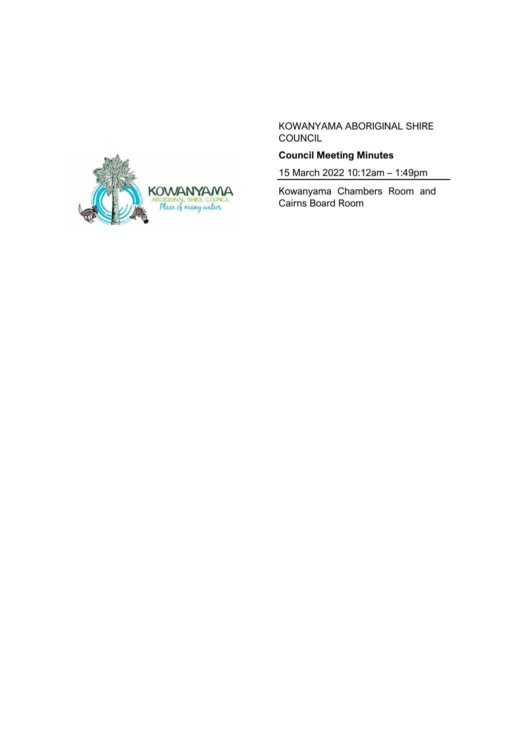

KOWANYAMA ABORIGINAL SHIRE COUNCIL

# **Council Meeting Minutes**

15 March 2022 10:12am – 1:49pm

Kowanyama Chambers Room and Cairns Board Room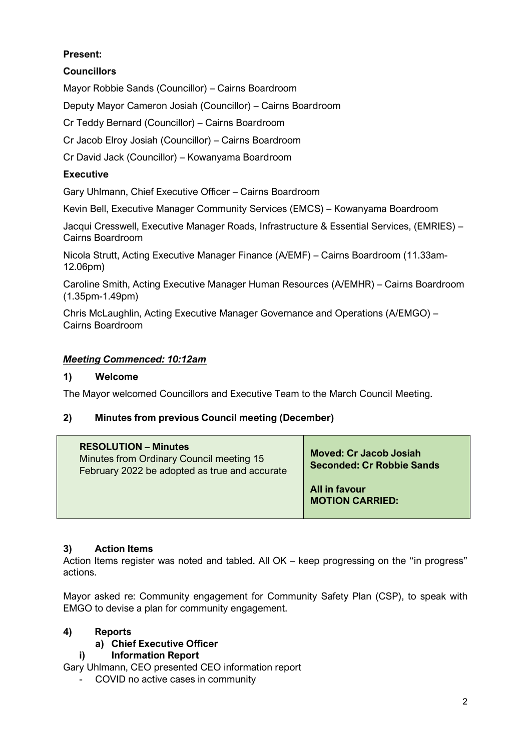# **Present:**

# **Councillors**

Mayor Robbie Sands (Councillor) – Cairns Boardroom

Deputy Mayor Cameron Josiah (Councillor) – Cairns Boardroom

Cr Teddy Bernard (Councillor) – Cairns Boardroom

Cr Jacob Elroy Josiah (Councillor) – Cairns Boardroom

Cr David Jack (Councillor) – Kowanyama Boardroom

## **Executive**

Gary Uhlmann, Chief Executive Officer – Cairns Boardroom

Kevin Bell, Executive Manager Community Services (EMCS) – Kowanyama Boardroom

Jacqui Cresswell, Executive Manager Roads, Infrastructure & Essential Services, (EMRIES) – Cairns Boardroom

Nicola Strutt, Acting Executive Manager Finance (A/EMF) – Cairns Boardroom (11.33am-12.06pm)

Caroline Smith, Acting Executive Manager Human Resources (A/EMHR) – Cairns Boardroom (1.35pm-1.49pm)

Chris McLaughlin, Acting Executive Manager Governance and Operations (A/EMGO) – Cairns Boardroom

### *Meeting Commenced: 10:12am*

#### **1) Welcome**

The Mayor welcomed Councillors and Executive Team to the March Council Meeting.

### **2) Minutes from previous Council meeting (December)**

| <b>RESOLUTION – Minutes</b><br>Minutes from Ordinary Council meeting 15<br>February 2022 be adopted as true and accurate | <b>Moved: Cr Jacob Josiah</b><br><b>Seconded: Cr Robbie Sands</b> |
|--------------------------------------------------------------------------------------------------------------------------|-------------------------------------------------------------------|
|                                                                                                                          | All in favour<br><b>MOTION CARRIED:</b>                           |

### **3) Action Items**

Action Items register was noted and tabled. All OK – keep progressing on the "in progress" actions.

Mayor asked re: Community engagement for Community Safety Plan (CSP), to speak with EMGO to devise a plan for community engagement.

### **4) Reports**

### **a) Chief Executive Officer**

### **i) Information Report**

Gary Uhlmann, CEO presented CEO information report

- COVID no active cases in community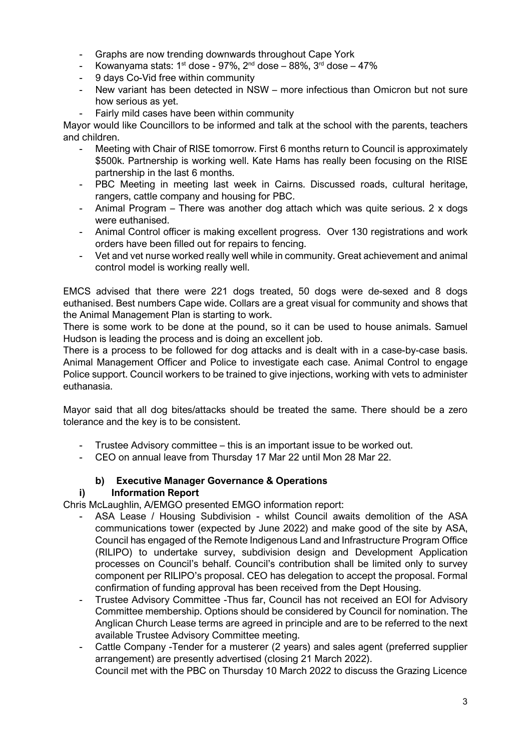- Graphs are now trending downwards throughout Cape York
- Kowanyama stats:  $1<sup>st</sup>$  dose 97%,  $2<sup>nd</sup>$  dose 88%,  $3<sup>rd</sup>$  dose 47%
- 9 days Co-Vid free within community
- New variant has been detected in NSW more infectious than Omicron but not sure how serious as yet.
- Fairly mild cases have been within community

Mayor would like Councillors to be informed and talk at the school with the parents, teachers and children.

- Meeting with Chair of RISE tomorrow. First 6 months return to Council is approximately \$500k. Partnership is working well. Kate Hams has really been focusing on the RISE partnership in the last 6 months.
- PBC Meeting in meeting last week in Cairns. Discussed roads, cultural heritage, rangers, cattle company and housing for PBC.
- Animal Program There was another dog attach which was quite serious. 2 x dogs were euthanised.
- Animal Control officer is making excellent progress. Over 130 registrations and work orders have been filled out for repairs to fencing.
- Vet and vet nurse worked really well while in community. Great achievement and animal control model is working really well.

EMCS advised that there were 221 dogs treated, 50 dogs were de-sexed and 8 dogs euthanised. Best numbers Cape wide. Collars are a great visual for community and shows that the Animal Management Plan is starting to work.

There is some work to be done at the pound, so it can be used to house animals. Samuel Hudson is leading the process and is doing an excellent job.

There is a process to be followed for dog attacks and is dealt with in a case-by-case basis. Animal Management Officer and Police to investigate each case. Animal Control to engage Police support. Council workers to be trained to give injections, working with vets to administer euthanasia.

Mayor said that all dog bites/attacks should be treated the same. There should be a zero tolerance and the key is to be consistent.

- Trustee Advisory committee this is an important issue to be worked out.
- CEO on annual leave from Thursday 17 Mar 22 until Mon 28 Mar 22.

### **b) Executive Manager Governance & Operations**

#### **i) Information Report**

Chris McLaughlin, A/EMGO presented EMGO information report:

- ASA Lease / Housing Subdivision whilst Council awaits demolition of the ASA communications tower (expected by June 2022) and make good of the site by ASA, Council has engaged of the Remote Indigenous Land and Infrastructure Program Office (RILIPO) to undertake survey, subdivision design and Development Application processes on Council's behalf. Council's contribution shall be limited only to survey component per RILIPO's proposal. CEO has delegation to accept the proposal. Formal confirmation of funding approval has been received from the Dept Housing.
- Trustee Advisory Committee -Thus far, Council has not received an EOI for Advisory Committee membership. Options should be considered by Council for nomination. The Anglican Church Lease terms are agreed in principle and are to be referred to the next available Trustee Advisory Committee meeting.
- Cattle Company -Tender for a musterer (2 years) and sales agent (preferred supplier arrangement) are presently advertised (closing 21 March 2022).

Council met with the PBC on Thursday 10 March 2022 to discuss the Grazing Licence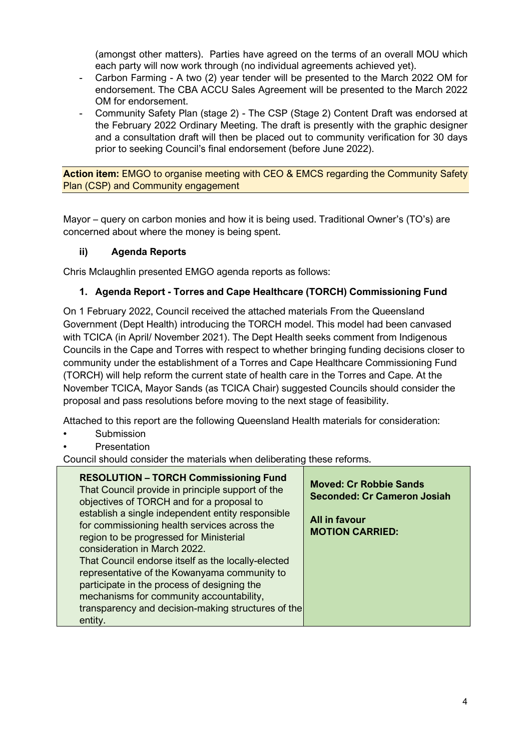(amongst other matters). Parties have agreed on the terms of an overall MOU which each party will now work through (no individual agreements achieved yet).

- Carbon Farming A two (2) year tender will be presented to the March 2022 OM for endorsement. The CBA ACCU Sales Agreement will be presented to the March 2022 OM for endorsement.
- Community Safety Plan (stage 2) The CSP (Stage 2) Content Draft was endorsed at the February 2022 Ordinary Meeting. The draft is presently with the graphic designer and a consultation draft will then be placed out to community verification for 30 days prior to seeking Council's final endorsement (before June 2022).

**Action item:** EMGO to organise meeting with CEO & EMCS regarding the Community Safety Plan (CSP) and Community engagement

Mayor – query on carbon monies and how it is being used. Traditional Owner's (TO's) are concerned about where the money is being spent.

## **ii) Agenda Reports**

Chris Mclaughlin presented EMGO agenda reports as follows:

# **1. Agenda Report - Torres and Cape Healthcare (TORCH) Commissioning Fund**

On 1 February 2022, Council received the attached materials From the Queensland Government (Dept Health) introducing the TORCH model. This model had been canvased with TCICA (in April/ November 2021). The Dept Health seeks comment from Indigenous Councils in the Cape and Torres with respect to whether bringing funding decisions closer to community under the establishment of a Torres and Cape Healthcare Commissioning Fund (TORCH) will help reform the current state of health care in the Torres and Cape. At the November TCICA, Mayor Sands (as TCICA Chair) suggested Councils should consider the proposal and pass resolutions before moving to the next stage of feasibility.

Attached to this report are the following Queensland Health materials for consideration:

- **Submission**
- **Presentation**

Council should consider the materials when deliberating these reforms.

| <b>RESOLUTION - TORCH Commissioning Fund</b><br>That Council provide in principle support of the<br>objectives of TORCH and for a proposal to<br>establish a single independent entity responsible<br>for commissioning health services across the<br>region to be progressed for Ministerial<br>consideration in March 2022.<br>That Council endorse itself as the locally-elected<br>representative of the Kowanyama community to<br>participate in the process of designing the<br>mechanisms for community accountability,<br>transparency and decision-making structures of the<br>entity. | <b>Moved: Cr Robbie Sands</b><br><b>Seconded: Cr Cameron Josiah</b><br>All in favour<br><b>MOTION CARRIED:</b> |
|-------------------------------------------------------------------------------------------------------------------------------------------------------------------------------------------------------------------------------------------------------------------------------------------------------------------------------------------------------------------------------------------------------------------------------------------------------------------------------------------------------------------------------------------------------------------------------------------------|----------------------------------------------------------------------------------------------------------------|
|-------------------------------------------------------------------------------------------------------------------------------------------------------------------------------------------------------------------------------------------------------------------------------------------------------------------------------------------------------------------------------------------------------------------------------------------------------------------------------------------------------------------------------------------------------------------------------------------------|----------------------------------------------------------------------------------------------------------------|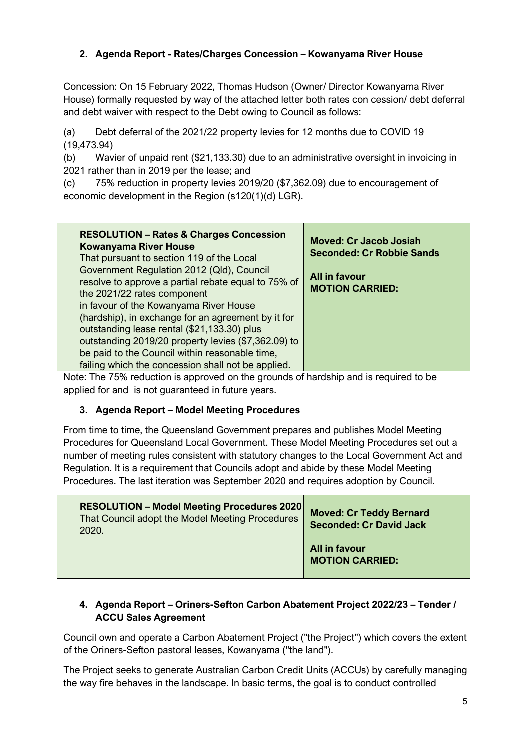# **2. Agenda Report - Rates/Charges Concession – Kowanyama River House**

Concession: On 15 February 2022, Thomas Hudson (Owner/ Director Kowanyama River House) formally requested by way of the attached letter both rates con cession/ debt deferral and debt waiver with respect to the Debt owing to Council as follows:

(a) Debt deferral of the 2021/22 property levies for 12 months due to COVID 19 (19,473.94)

(b) Wavier of unpaid rent (\$21,133.30) due to an administrative oversight in invoicing in 2021 rather than in 2019 per the lease; and

(c) 75% reduction in property levies 2019/20 (\$7,362.09) due to encouragement of economic development in the Region (s120(1)(d) LGR).

| <b>RESOLUTION - Rates &amp; Charges Concession</b><br><b>Kowanyama River House</b><br>That pursuant to section 119 of the Local<br>Government Regulation 2012 (Qld), Council<br>resolve to approve a partial rebate equal to 75% of<br>the 2021/22 rates component<br>in favour of the Kowanyama River House<br>(hardship), in exchange for an agreement by it for<br>outstanding lease rental (\$21,133.30) plus<br>outstanding 2019/20 property levies (\$7,362.09) to<br>be paid to the Council within reasonable time,<br>failing which the concession shall not be applied. | <b>Moved: Cr Jacob Josiah</b><br><b>Seconded: Cr Robbie Sands</b><br>All in favour<br><b>MOTION CARRIED:</b> |
|----------------------------------------------------------------------------------------------------------------------------------------------------------------------------------------------------------------------------------------------------------------------------------------------------------------------------------------------------------------------------------------------------------------------------------------------------------------------------------------------------------------------------------------------------------------------------------|--------------------------------------------------------------------------------------------------------------|
|----------------------------------------------------------------------------------------------------------------------------------------------------------------------------------------------------------------------------------------------------------------------------------------------------------------------------------------------------------------------------------------------------------------------------------------------------------------------------------------------------------------------------------------------------------------------------------|--------------------------------------------------------------------------------------------------------------|

Note: The 75% reduction is approved on the grounds of hardship and is required to be applied for and is not guaranteed in future years.

### **3. Agenda Report – Model Meeting Procedures**

From time to time, the Queensland Government prepares and publishes Model Meeting Procedures for Queensland Local Government. These Model Meeting Procedures set out a number of meeting rules consistent with statutory changes to the Local Government Act and Regulation. It is a requirement that Councils adopt and abide by these Model Meeting Procedures. The last iteration was September 2020 and requires adoption by Council.

| <b>RESOLUTION - Model Meeting Procedures 2020</b><br>That Council adopt the Model Meeting Procedures<br>2020. | <b>Moved: Cr Teddy Bernard</b><br><b>Seconded: Cr David Jack</b> |
|---------------------------------------------------------------------------------------------------------------|------------------------------------------------------------------|
|                                                                                                               | All in favour<br><b>MOTION CARRIED:</b>                          |

## **4. Agenda Report – Oriners-Sefton Carbon Abatement Project 2022/23 – Tender / ACCU Sales Agreement**

Council own and operate a Carbon Abatement Project ("the Project'') which covers the extent of the Oriners-Sefton pastoral leases, Kowanyama ("the land").

The Project seeks to generate Australian Carbon Credit Units (ACCUs) by carefully managing the way fire behaves in the landscape. In basic terms, the goal is to conduct controlled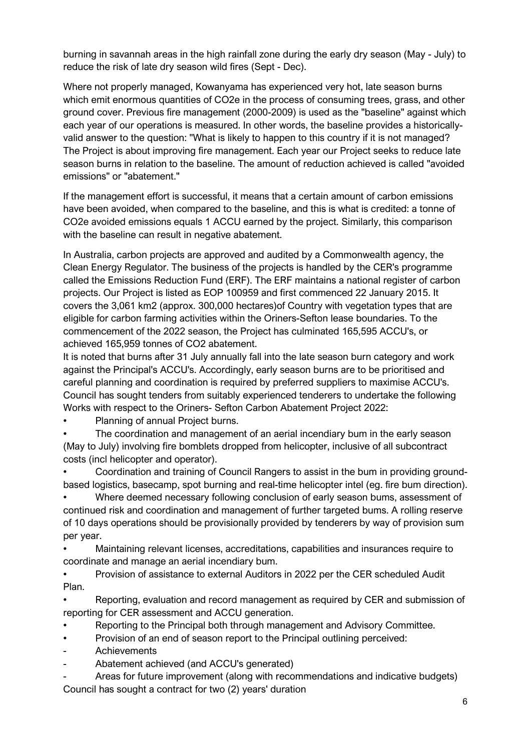burning in savannah areas in the high rainfall zone during the early dry season (May - July) to reduce the risk of late dry season wild fires (Sept - Dec).

Where not properly managed, Kowanyama has experienced very hot, late season burns which emit enormous quantities of CO2e in the process of consuming trees, grass, and other ground cover. Previous fire management (2000-2009) is used as the "baseline" against which each year of our operations is measured. In other words, the baseline provides a historicallyvalid answer to the question: "What is likely to happen to this country if it is not managed? The Project is about improving fire management. Each year our Project seeks to reduce late season burns in relation to the baseline. The amount of reduction achieved is called "avoided emissions" or "abatement."

If the management effort is successful, it means that a certain amount of carbon emissions have been avoided, when compared to the baseline, and this is what is credited: a tonne of CO2e avoided emissions equals 1 ACCU earned by the project. Similarly, this comparison with the baseline can result in negative abatement.

In Australia, carbon projects are approved and audited by a Commonwealth agency, the Clean Energy Regulator. The business of the projects is handled by the CER's programme called the Emissions Reduction Fund (ERF). The ERF maintains a national register of carbon projects. Our Project is listed as EOP 100959 and first commenced 22 January 2015. It covers the 3,061 km2 (approx. 300,000 hectares)of Country with vegetation types that are eligible for carbon farming activities within the Oriners-Sefton lease boundaries. To the commencement of the 2022 season, the Project has culminated 165,595 ACCU's, or achieved 165,959 tonnes of CO2 abatement.

It is noted that burns after 31 July annually fall into the late season burn category and work against the Principal's ACCU's. Accordingly, early season burns are to be prioritised and careful planning and coordination is required by preferred suppliers to maximise ACCU's. Council has sought tenders from suitably experienced tenderers to undertake the following Works with respect to the Oriners- Sefton Carbon Abatement Project 2022:

• Planning of annual Project burns.

The coordination and management of an aerial incendiary bum in the early season (May to July) involving fire bomblets dropped from helicopter, inclusive of all subcontract costs (incl helicopter and operator).

• Coordination and training of Council Rangers to assist in the bum in providing groundbased logistics, basecamp, spot burning and real-time helicopter intel (eg. fire bum direction).

• Where deemed necessary following conclusion of early season bums, assessment of continued risk and coordination and management of further targeted bums. A rolling reserve of 10 days operations should be provisionally provided by tenderers by way of provision sum per year.

• Maintaining relevant licenses, accreditations, capabilities and insurances require to coordinate and manage an aerial incendiary bum.

• Provision of assistance to external Auditors in 2022 per the CER scheduled Audit Plan.

• Reporting, evaluation and record management as required by CER and submission of reporting for CER assessment and ACCU generation.

• Reporting to the Principal both through management and Advisory Committee.

- Provision of an end of season report to the Principal outlining perceived:
- Achievements
- Abatement achieved (and ACCU's generated)

Areas for future improvement (along with recommendations and indicative budgets) Council has sought a contract for two (2) years' duration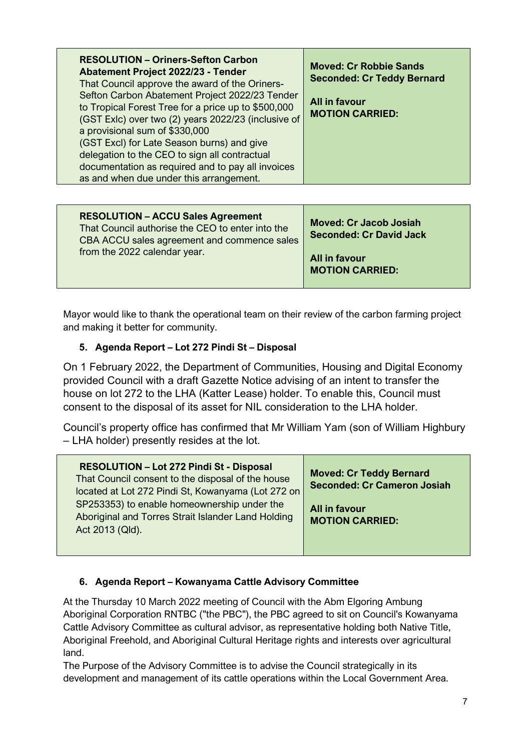| <b>RESOLUTION - Oriners-Sefton Carbon</b><br>Abatement Project 2022/23 - Tender<br>That Council approve the award of the Oriners-<br>Sefton Carbon Abatement Project 2022/23 Tender<br>to Tropical Forest Tree for a price up to \$500,000<br>(GST Exlc) over two (2) years 2022/23 (inclusive of<br>a provisional sum of \$330,000<br>(GST Excl) for Late Season burns) and give<br>delegation to the CEO to sign all contractual<br>documentation as required and to pay all invoices<br>as and when due under this arrangement. | <b>Moved: Cr Robbie Sands</b><br><b>Seconded: Cr Teddy Bernard</b><br>All in favour<br><b>MOTION CARRIED:</b> |
|------------------------------------------------------------------------------------------------------------------------------------------------------------------------------------------------------------------------------------------------------------------------------------------------------------------------------------------------------------------------------------------------------------------------------------------------------------------------------------------------------------------------------------|---------------------------------------------------------------------------------------------------------------|
| <b>RESOLUTION - ACCU Sales Agreement</b>                                                                                                                                                                                                                                                                                                                                                                                                                                                                                           | Moved: Cr. Jacob Josiah                                                                                       |

| <b>RESOLUTION - ACCU Sales Agreement</b><br>That Council authorise the CEO to enter into the<br>CBA ACCU sales agreement and commence sales | <b>Moved: Cr Jacob Josiah</b><br><b>Seconded: Cr David Jack</b> |
|---------------------------------------------------------------------------------------------------------------------------------------------|-----------------------------------------------------------------|
| from the 2022 calendar year.                                                                                                                | All in favour<br><b>MOTION CARRIED:</b>                         |

Mayor would like to thank the operational team on their review of the carbon farming project and making it better for community.

# **5. Agenda Report – Lot 272 Pindi St – Disposal**

On 1 February 2022, the Department of Communities, Housing and Digital Economy provided Council with a draft Gazette Notice advising of an intent to transfer the house on lot 272 to the LHA (Katter Lease) holder. To enable this, Council must consent to the disposal of its asset for NIL consideration to the LHA holder.

Council's property office has confirmed that Mr William Yam (son of William Highbury – LHA holder) presently resides at the lot.

| <b>RESOLUTION - Lot 272 Pindi St - Disposal</b><br>That Council consent to the disposal of the house<br>located at Lot 272 Pindi St, Kowanyama (Lot 272 on | <b>Moved: Cr Teddy Bernard</b><br><b>Seconded: Cr Cameron Josiah</b> |
|------------------------------------------------------------------------------------------------------------------------------------------------------------|----------------------------------------------------------------------|
| SP253353) to enable homeownership under the<br>Aboriginal and Torres Strait Islander Land Holding<br>Act 2013 (Qld).                                       | All in favour<br><b>MOTION CARRIED:</b>                              |

# **6. Agenda Report – Kowanyama Cattle Advisory Committee**

At the Thursday 10 March 2022 meeting of Council with the Abm Elgoring Ambung Aboriginal Corporation RNTBC ("the PBC"), the PBC agreed to sit on Council's Kowanyama Cattle Advisory Committee as cultural advisor, as representative holding both Native Title, Aboriginal Freehold, and Aboriginal Cultural Heritage rights and interests over agricultural land.

The Purpose of the Advisory Committee is to advise the Council strategically in its development and management of its cattle operations within the Local Government Area.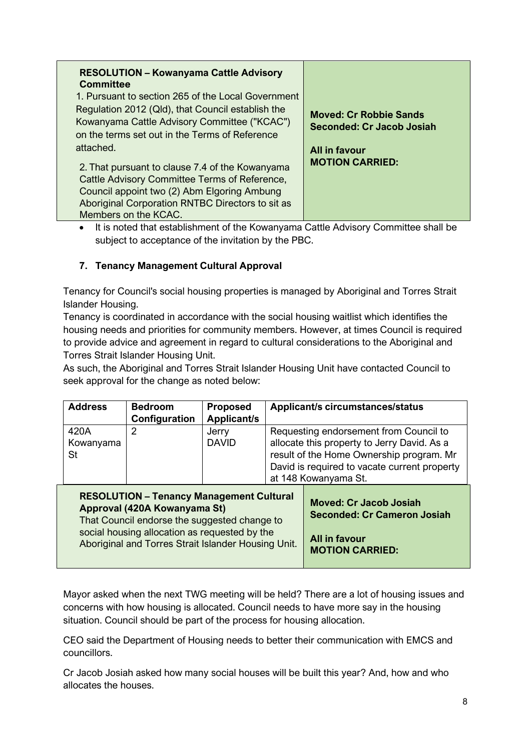• It is noted that establishment of the Kowanyama Cattle Advisory Committee shall be subject to acceptance of the invitation by the PBC.

## **7. Tenancy Management Cultural Approval**

Tenancy for Council's social housing properties is managed by Aboriginal and Torres Strait Islander Housing.

Tenancy is coordinated in accordance with the social housing waitlist which identifies the housing needs and priorities for community members. However, at times Council is required to provide advice and agreement in regard to cultural considerations to the Aboriginal and Torres Strait Islander Housing Unit.

As such, the Aboriginal and Torres Strait Islander Housing Unit have contacted Council to seek approval for the change as noted below:

| <b>Address</b>                                                                                                                                                                                                                          | <b>Bedroom</b><br>Configuration | <b>Proposed</b><br><b>Applicant/s</b>                                                                          | <b>Applicant/s circumstances/status</b>                                                                                                                                                                   |
|-----------------------------------------------------------------------------------------------------------------------------------------------------------------------------------------------------------------------------------------|---------------------------------|----------------------------------------------------------------------------------------------------------------|-----------------------------------------------------------------------------------------------------------------------------------------------------------------------------------------------------------|
| 420A<br>Kowanyama<br>St                                                                                                                                                                                                                 | 2                               | Jerry<br><b>DAVID</b>                                                                                          | Requesting endorsement from Council to<br>allocate this property to Jerry David. As a<br>result of the Home Ownership program. Mr<br>David is required to vacate current property<br>at 148 Kowanyama St. |
| <b>RESOLUTION - Tenancy Management Cultural</b><br>Approval (420A Kowanyama St)<br>That Council endorse the suggested change to<br>social housing allocation as requested by the<br>Aboriginal and Torres Strait Islander Housing Unit. |                                 | <b>Moved: Cr Jacob Josiah</b><br><b>Seconded: Cr Cameron Josiah</b><br>All in favour<br><b>MOTION CARRIED:</b> |                                                                                                                                                                                                           |

Mayor asked when the next TWG meeting will be held? There are a lot of housing issues and concerns with how housing is allocated. Council needs to have more say in the housing situation. Council should be part of the process for housing allocation.

CEO said the Department of Housing needs to better their communication with EMCS and councillors.

Cr Jacob Josiah asked how many social houses will be built this year? And, how and who allocates the houses.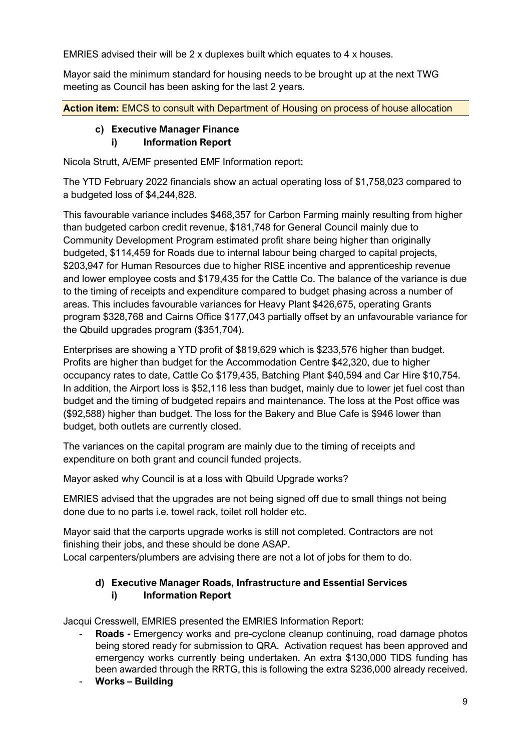EMRIES advised their will be 2 x duplexes built which equates to 4 x houses.

Mayor said the minimum standard for housing needs to be brought up at the next TWG meeting as Council has been asking for the last 2 years.

**Action item:** EMCS to consult with Department of Housing on process of house allocation

#### **c) Executive Manager Finance i) Information Report**

Nicola Strutt, A/EMF presented EMF Information report:

The YTD February 2022 financials show an actual operating loss of \$1,758,023 compared to a budgeted loss of \$4,244,828.

This favourable variance includes \$468,357 for Carbon Farming mainly resulting from higher than budgeted carbon credit revenue, \$181,748 for General Council mainly due to Community Development Program estimated profit share being higher than originally budgeted, \$114,459 for Roads due to internal labour being charged to capital projects, \$203,947 for Human Resources due to higher RISE incentive and apprenticeship revenue and lower employee costs and \$179,435 for the Cattle Co. The balance of the variance is due to the timing of receipts and expenditure compared to budget phasing across a number of areas. This includes favourable variances for Heavy Plant \$426,675, operating Grants program \$328,768 and Cairns Office \$177,043 partially offset by an unfavourable variance for the Qbuild upgrades program (\$351,704).

Enterprises are showing a YTD profit of \$819,629 which is \$233,576 higher than budget. Profits are higher than budget for the Accommodation Centre \$42,320, due to higher occupancy rates to date, Cattle Co \$179,435, Batching Plant \$40,594 and Car Hire \$10,754. In addition, the Airport loss is \$52,116 less than budget, mainly due to lower jet fuel cost than budget and the timing of budgeted repairs and maintenance. The loss at the Post office was (\$92,588) higher than budget. The loss for the Bakery and Blue Cafe is \$946 lower than budget, both outlets are currently closed.

The variances on the capital program are mainly due to the timing of receipts and expenditure on both grant and council funded projects.

Mayor asked why Council is at a loss with Qbuild Upgrade works?

EMRIES advised that the upgrades are not being signed off due to small things not being done due to no parts i.e. towel rack, toilet roll holder etc.

Mayor said that the carports upgrade works is still not completed. Contractors are not finishing their jobs, and these should be done ASAP. Local carpenters/plumbers are advising there are not a lot of jobs for them to do.

## **d) Executive Manager Roads, Infrastructure and Essential Services i) Information Report**

Jacqui Cresswell, EMRIES presented the EMRIES Information Report:

- **Roads -** Emergency works and pre-cyclone cleanup continuing, road damage photos being stored ready for submission to QRA. Activation request has been approved and emergency works currently being undertaken. An extra \$130,000 TIDS funding has been awarded through the RRTG, this is following the extra \$236,000 already received.
- **Works – Building**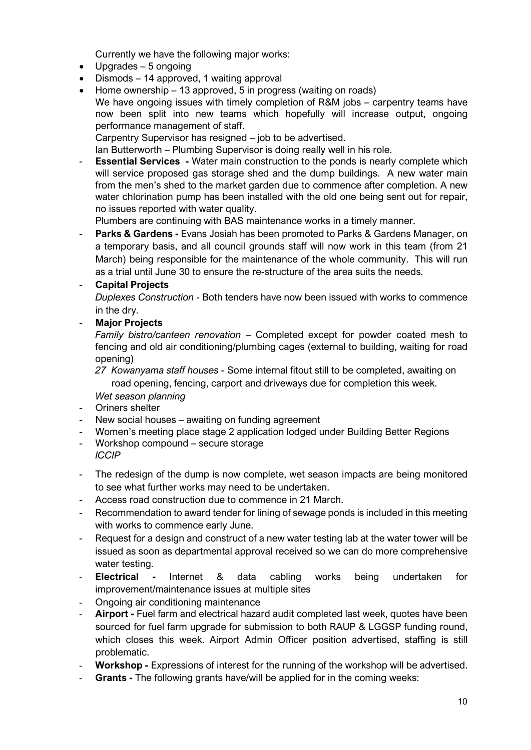Currently we have the following major works:

- Upgrades 5 ongoing
- Dismods 14 approved, 1 waiting approval
- Home ownership 13 approved, 5 in progress (waiting on roads) We have ongoing issues with timely completion of R&M jobs – carpentry teams have now been split into new teams which hopefully will increase output, ongoing performance management of staff. Carpentry Supervisor has resigned – job to be advertised.

Ian Butterworth – Plumbing Supervisor is doing really well in his role.

- **Essential Services -** Water main construction to the ponds is nearly complete which will service proposed gas storage shed and the dump buildings. A new water main from the men's shed to the market garden due to commence after completion. A new water chlorination pump has been installed with the old one being sent out for repair, no issues reported with water quality.

Plumbers are continuing with BAS maintenance works in a timely manner.

**Parks & Gardens -** Evans Josiah has been promoted to Parks & Gardens Manager, on a temporary basis, and all council grounds staff will now work in this team (from 21 March) being responsible for the maintenance of the whole community. This will run as a trial until June 30 to ensure the re-structure of the area suits the needs.

#### - **Capital Projects**

*Duplexes Construction -* Both tenders have now been issued with works to commence in the dry.

#### - **Major Projects**

*Family bistro/canteen renovation* – Completed except for powder coated mesh to fencing and old air conditioning/plumbing cages (external to building, waiting for road opening)

*27 Kowanyama staff houses -* Some internal fitout still to be completed, awaiting on road opening, fencing, carport and driveways due for completion this week. *Wet season planning*

- Oriners shelter
- New social houses awaiting on funding agreement
- Women's meeting place stage 2 application lodged under Building Better Regions
- Workshop compound secure storage *ICCIP*
- The redesign of the dump is now complete, wet season impacts are being monitored to see what further works may need to be undertaken.
- Access road construction due to commence in 21 March.
- Recommendation to award tender for lining of sewage ponds is included in this meeting with works to commence early June.
- Request for a design and construct of a new water testing lab at the water tower will be issued as soon as departmental approval received so we can do more comprehensive water testing.
- **Electrical -** Internet & data cabling works being undertaken for improvement/maintenance issues at multiple sites
- Ongoing air conditioning maintenance
- Airport Fuel farm and electrical hazard audit completed last week, quotes have been sourced for fuel farm upgrade for submission to both RAUP & LGGSP funding round, which closes this week. Airport Admin Officer position advertised, staffing is still problematic.
- **Workshop -** Expressions of interest for the running of the workshop will be advertised.
- **Grants -** The following grants have/will be applied for in the coming weeks: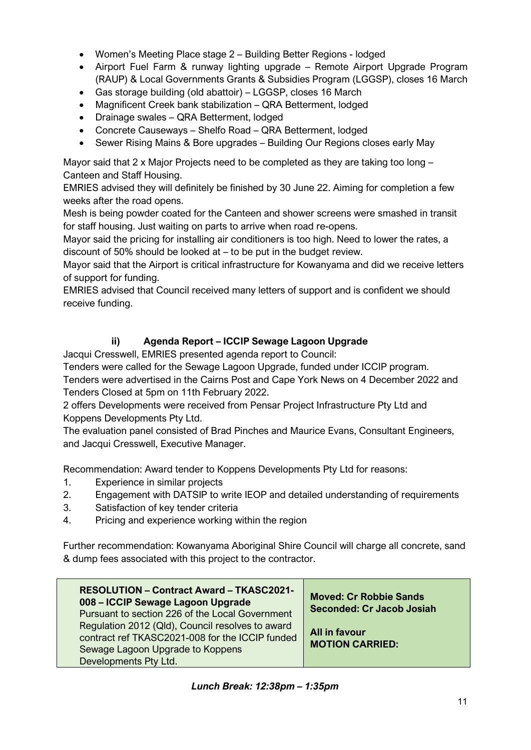- Women's Meeting Place stage 2 Building Better Regions lodged
- Airport Fuel Farm & runway lighting upgrade Remote Airport Upgrade Program (RAUP) & Local Governments Grants & Subsidies Program (LGGSP), closes 16 March
- Gas storage building (old abattoir) LGGSP, closes 16 March
- Magnificent Creek bank stabilization QRA Betterment, lodged
- Drainage swales QRA Betterment, lodged
- Concrete Causeways Shelfo Road QRA Betterment, lodged
- Sewer Rising Mains & Bore upgrades Building Our Regions closes early May

Mayor said that 2 x Major Projects need to be completed as they are taking too long  $-$ Canteen and Staff Housing.

EMRIES advised they will definitely be finished by 30 June 22. Aiming for completion a few weeks after the road opens.

Mesh is being powder coated for the Canteen and shower screens were smashed in transit for staff housing. Just waiting on parts to arrive when road re-opens.

Mayor said the pricing for installing air conditioners is too high. Need to lower the rates, a discount of 50% should be looked at – to be put in the budget review.

Mayor said that the Airport is critical infrastructure for Kowanyama and did we receive letters of support for funding.

EMRIES advised that Council received many letters of support and is confident we should receive funding.

## **ii) Agenda Report – ICCIP Sewage Lagoon Upgrade**

Jacqui Cresswell, EMRIES presented agenda report to Council:

Tenders were called for the Sewage Lagoon Upgrade, funded under ICCIP program.

Tenders were advertised in the Cairns Post and Cape York News on 4 December 2022 and Tenders Closed at 5pm on 11th February 2022.

2 offers Developments were received from Pensar Project Infrastructure Pty Ltd and Koppens Developments Pty Ltd.

The evaluation panel consisted of Brad Pinches and Maurice Evans, Consultant Engineers, and Jacqui Cresswell, Executive Manager.

Recommendation: Award tender to Koppens Developments Pty Ltd for reasons:

- 1. Experience in similar projects
- 2. Engagement with DATSIP to write IEOP and detailed understanding of requirements
- 3. Satisfaction of key tender criteria
- 4. Pricing and experience working within the region

Further recommendation: Kowanyama Aboriginal Shire Council will charge all concrete, sand & dump fees associated with this project to the contractor.

| <b>RESOLUTION - Contract Award - TKASC2021-</b><br>008 - ICCIP Sewage Lagoon Upgrade<br>Pursuant to section 226 of the Local Government<br>Regulation 2012 (Qld), Council resolves to award<br>contract ref TKASC2021-008 for the ICCIP funded | <b>Moved: Cr Robbie Sands</b><br>Seconded: Cr Jacob Josiah<br>All in favour<br><b>MOTION CARRIED:</b> |
|------------------------------------------------------------------------------------------------------------------------------------------------------------------------------------------------------------------------------------------------|-------------------------------------------------------------------------------------------------------|
| Sewage Lagoon Upgrade to Koppens<br>Developments Pty Ltd.                                                                                                                                                                                      |                                                                                                       |